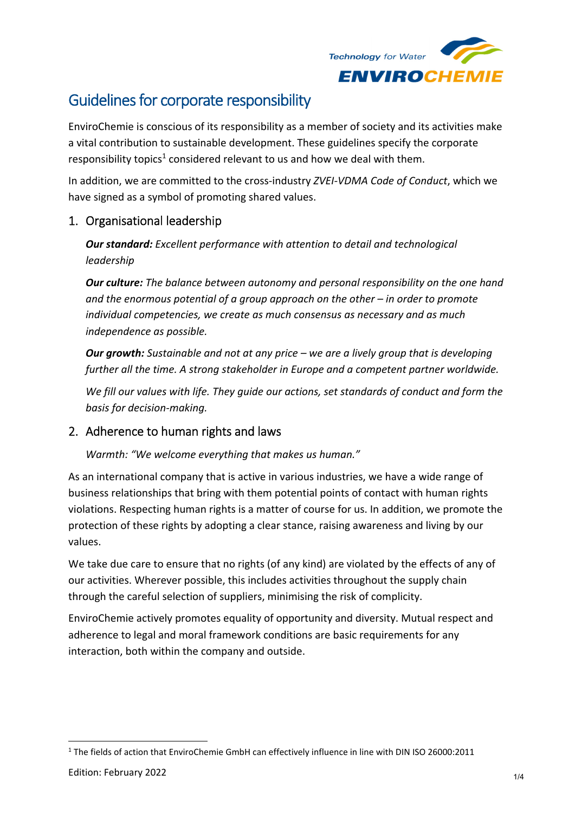

# Guidelines for corporate responsibility

EnviroChemie is conscious of its responsibility as a member of society and its activities make a vital contribution to sustainable development. These guidelines specify the corporate responsibility topics<sup>1</sup> considered relevant to us and how we deal with them.

In addition, we are committed to the cross‐industry *ZVEI‐VDMA Code of Conduct*, which we have signed as a symbol of promoting shared values.

## 1. Organisational leadership

*Our standard: Excellent performance with attention to detail and technological leadership*

*Our culture: The balance between autonomy and personal responsibility on the one hand and the enormous potential of a group approach on the other – in order to promote individual competencies, we create as much consensus as necessary and as much independence as possible.*

*Our growth: Sustainable and not at any price – we are a lively group that is developing further all the time. A strong stakeholder in Europe and a competent partner worldwide.*

*We fill our values with life. They guide our actions, set standards of conduct and form the basis for decision‐making.*

#### 2. Adherence to human rights and laws

*Warmth: "We welcome everything that makes us human."* 

As an international company that is active in various industries, we have a wide range of business relationships that bring with them potential points of contact with human rights violations. Respecting human rights is a matter of course for us. In addition, we promote the protection of these rights by adopting a clear stance, raising awareness and living by our values.

We take due care to ensure that no rights (of any kind) are violated by the effects of any of our activities. Wherever possible, this includes activities throughout the supply chain through the careful selection of suppliers, minimising the risk of complicity.

EnviroChemie actively promotes equality of opportunity and diversity. Mutual respect and adherence to legal and moral framework conditions are basic requirements for any interaction, both within the company and outside.

<sup>1</sup> The fields of action that EnviroChemie GmbH can effectively influence in line with DIN ISO 26000:2011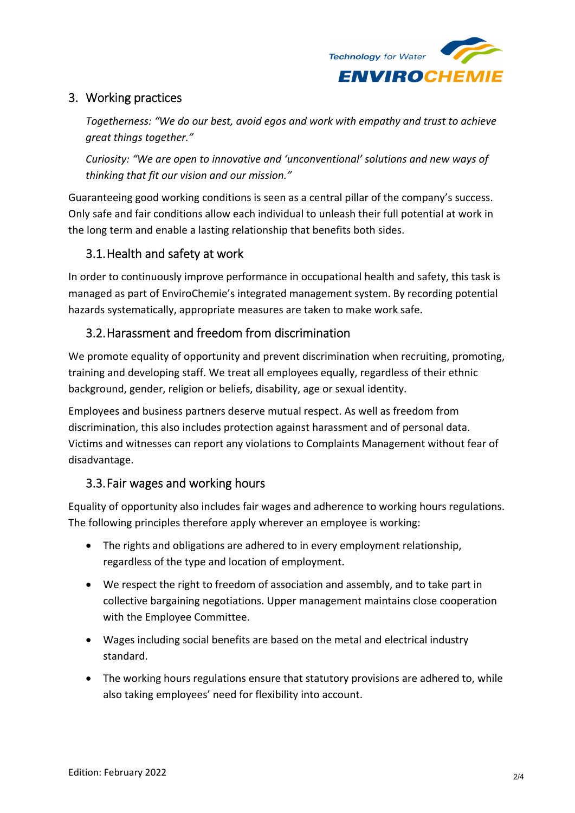

## 3. Working practices

*Togetherness: "We do our best, avoid egos and work with empathy and trust to achieve great things together."*

*Curiosity: "We are open to innovative and 'unconventional' solutions and new ways of thinking that fit our vision and our mission."*

Guaranteeing good working conditions is seen as a central pillar of the company's success. Only safe and fair conditions allow each individual to unleash their full potential at work in the long term and enable a lasting relationship that benefits both sides.

# 3.1.Health and safety at work

In order to continuously improve performance in occupational health and safety, this task is managed as part of EnviroChemie's integrated management system. By recording potential hazards systematically, appropriate measures are taken to make work safe.

## 3.2.Harassment and freedom from discrimination

We promote equality of opportunity and prevent discrimination when recruiting, promoting, training and developing staff. We treat all employees equally, regardless of their ethnic background, gender, religion or beliefs, disability, age or sexual identity.

Employees and business partners deserve mutual respect. As well as freedom from discrimination, this also includes protection against harassment and of personal data. Victims and witnesses can report any violations to Complaints Management without fear of disadvantage.

## 3.3.Fair wages and working hours

Equality of opportunity also includes fair wages and adherence to working hours regulations. The following principles therefore apply wherever an employee is working:

- The rights and obligations are adhered to in every employment relationship, regardless of the type and location of employment.
- We respect the right to freedom of association and assembly, and to take part in collective bargaining negotiations. Upper management maintains close cooperation with the Employee Committee.
- Wages including social benefits are based on the metal and electrical industry standard.
- The working hours regulations ensure that statutory provisions are adhered to, while also taking employees' need for flexibility into account.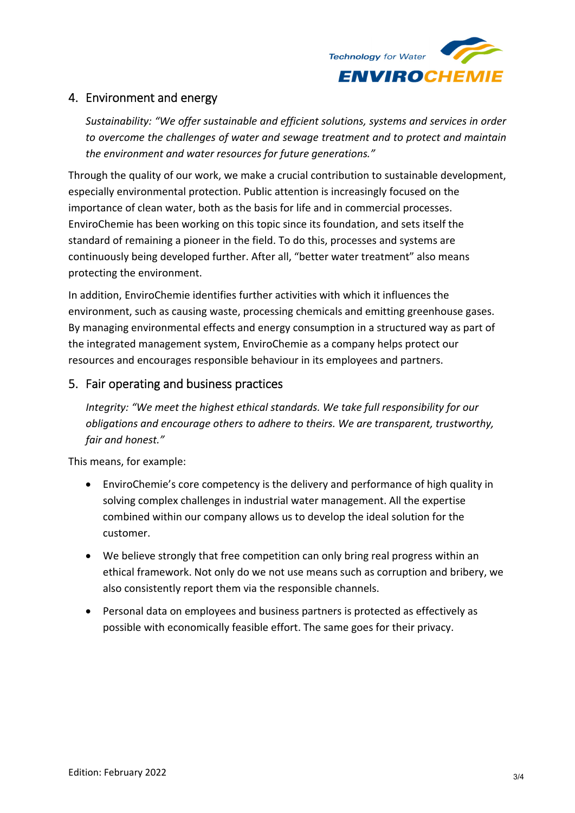

## 4. Environment and energy

*Sustainability: "We offer sustainable and efficient solutions, systems and services in order to overcome the challenges of water and sewage treatment and to protect and maintain the environment and water resources for future generations."*

Through the quality of our work, we make a crucial contribution to sustainable development, especially environmental protection. Public attention is increasingly focused on the importance of clean water, both as the basis for life and in commercial processes. EnviroChemie has been working on this topic since its foundation, and sets itself the standard of remaining a pioneer in the field. To do this, processes and systems are continuously being developed further. After all, "better water treatment" also means protecting the environment.

In addition, EnviroChemie identifies further activities with which it influences the environment, such as causing waste, processing chemicals and emitting greenhouse gases. By managing environmental effects and energy consumption in a structured way as part of the integrated management system, EnviroChemie as a company helps protect our resources and encourages responsible behaviour in its employees and partners.

#### 5. Fair operating and business practices

*Integrity: "We meet the highest ethical standards. We take full responsibility for our obligations and encourage others to adhere to theirs. We are transparent, trustworthy, fair and honest."*

This means, for example:

- EnviroChemie's core competency is the delivery and performance of high quality in solving complex challenges in industrial water management. All the expertise combined within our company allows us to develop the ideal solution for the customer.
- We believe strongly that free competition can only bring real progress within an ethical framework. Not only do we not use means such as corruption and bribery, we also consistently report them via the responsible channels.
- Personal data on employees and business partners is protected as effectively as possible with economically feasible effort. The same goes for their privacy.